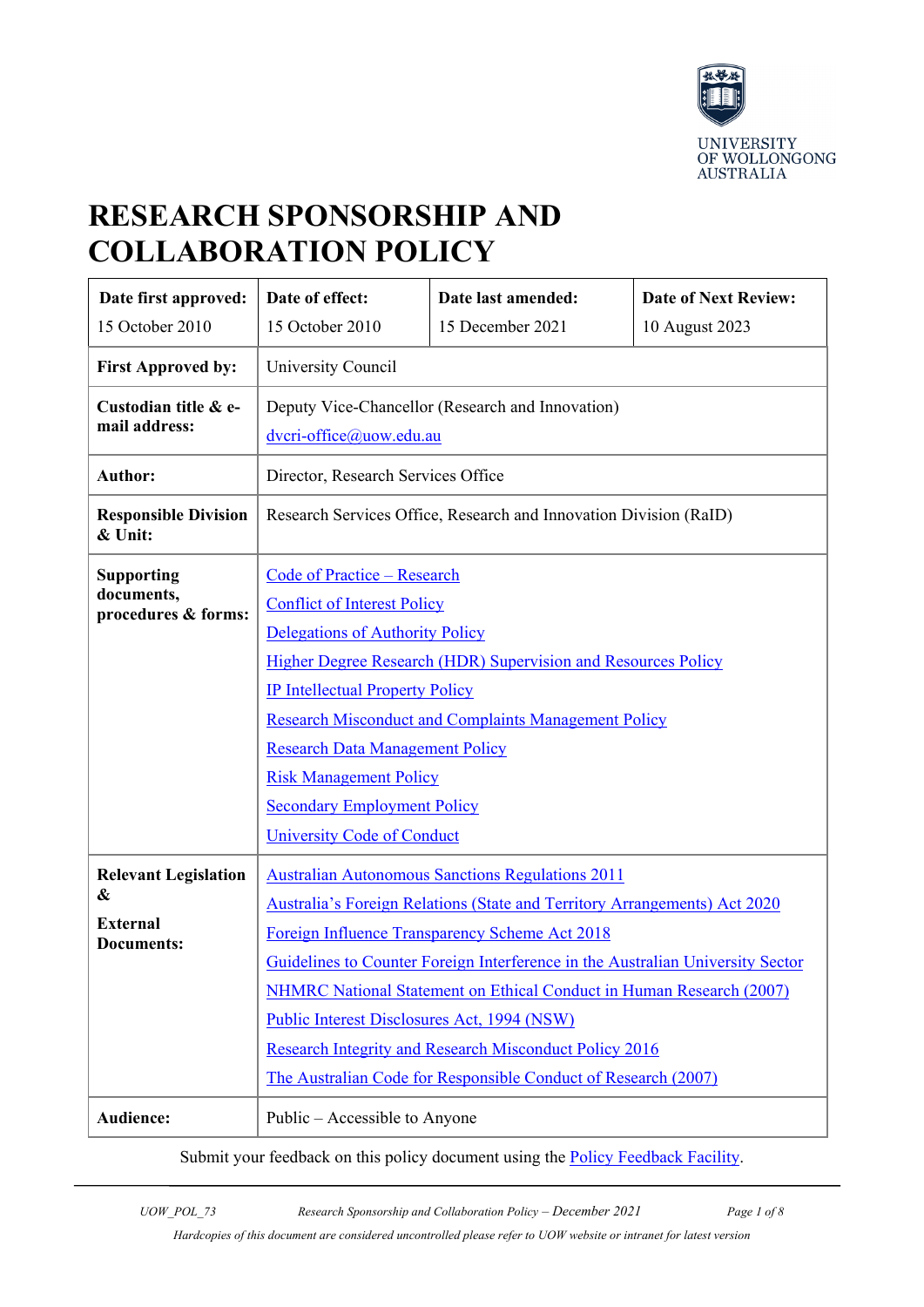

# **RESEARCH SPONSORSHIP AND COLLABORATION POLICY**

| Date first approved:                                                     | Date of effect:                                                                                                                                                                                                                                                                                                                                                                                                                                                                                                                                                         | Date last amended: | <b>Date of Next Review:</b> |  |
|--------------------------------------------------------------------------|-------------------------------------------------------------------------------------------------------------------------------------------------------------------------------------------------------------------------------------------------------------------------------------------------------------------------------------------------------------------------------------------------------------------------------------------------------------------------------------------------------------------------------------------------------------------------|--------------------|-----------------------------|--|
| 15 October 2010                                                          | 15 October 2010                                                                                                                                                                                                                                                                                                                                                                                                                                                                                                                                                         | 15 December 2021   | 10 August 2023              |  |
| <b>First Approved by:</b>                                                | University Council                                                                                                                                                                                                                                                                                                                                                                                                                                                                                                                                                      |                    |                             |  |
| Custodian title & e-<br>mail address:                                    | Deputy Vice-Chancellor (Research and Innovation)<br>dvcri-office@uow.edu.au                                                                                                                                                                                                                                                                                                                                                                                                                                                                                             |                    |                             |  |
| <b>Author:</b>                                                           | Director, Research Services Office                                                                                                                                                                                                                                                                                                                                                                                                                                                                                                                                      |                    |                             |  |
| <b>Responsible Division</b><br>& Unit:                                   | Research Services Office, Research and Innovation Division (RaID)                                                                                                                                                                                                                                                                                                                                                                                                                                                                                                       |                    |                             |  |
| <b>Supporting</b><br>documents,<br>procedures & forms:                   | <b>Code of Practice - Research</b><br><b>Conflict of Interest Policy</b><br>Delegations of Authority Policy<br>Higher Degree Research (HDR) Supervision and Resources Policy<br><b>IP Intellectual Property Policy</b><br><b>Research Misconduct and Complaints Management Policy</b><br><b>Research Data Management Policy</b><br><b>Risk Management Policy</b><br><b>Secondary Employment Policy</b>                                                                                                                                                                  |                    |                             |  |
| <b>Relevant Legislation</b><br>&<br><b>External</b><br><b>Documents:</b> | <b>University Code of Conduct</b><br><b>Australian Autonomous Sanctions Regulations 2011</b><br>Australia's Foreign Relations (State and Territory Arrangements) Act 2020<br>Foreign Influence Transparency Scheme Act 2018<br>Guidelines to Counter Foreign Interference in the Australian University Sector<br>NHMRC National Statement on Ethical Conduct in Human Research (2007)<br>Public Interest Disclosures Act, 1994 (NSW)<br><b>Research Integrity and Research Misconduct Policy 2016</b><br>The Australian Code for Responsible Conduct of Research (2007) |                    |                             |  |
| Audience:                                                                | Public – Accessible to Anyone                                                                                                                                                                                                                                                                                                                                                                                                                                                                                                                                           |                    |                             |  |

Submit your feedback on this policy document using the **Policy Feedback Facility**.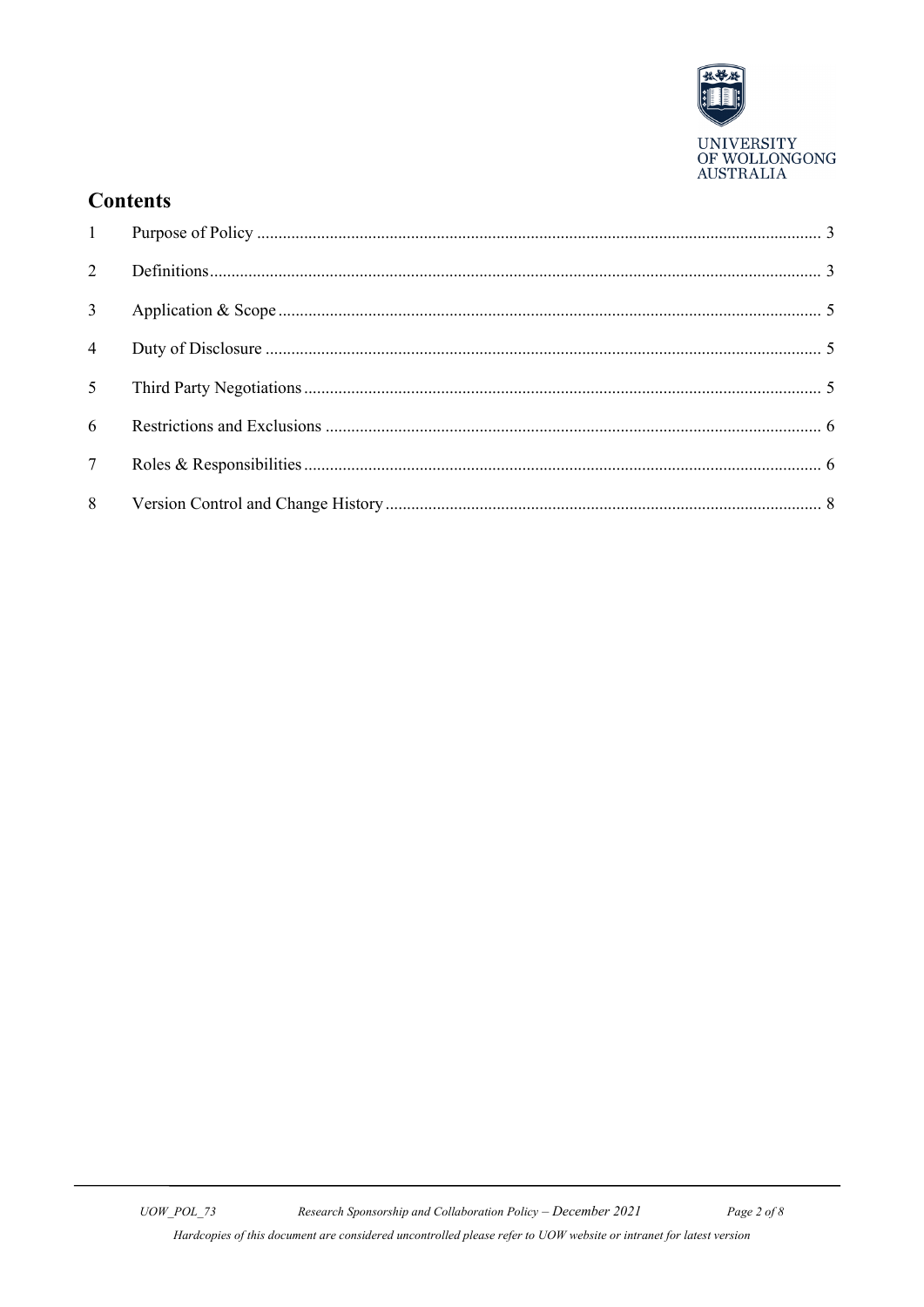

UNIVERSITY<br>OF WOLLONGONG<br>AUSTRALIA

## **Contents**

| 1               |  |
|-----------------|--|
| 2               |  |
| $\overline{3}$  |  |
| $\overline{4}$  |  |
| 5 <sup>5</sup>  |  |
| 6               |  |
| $7\overline{ }$ |  |
| 8               |  |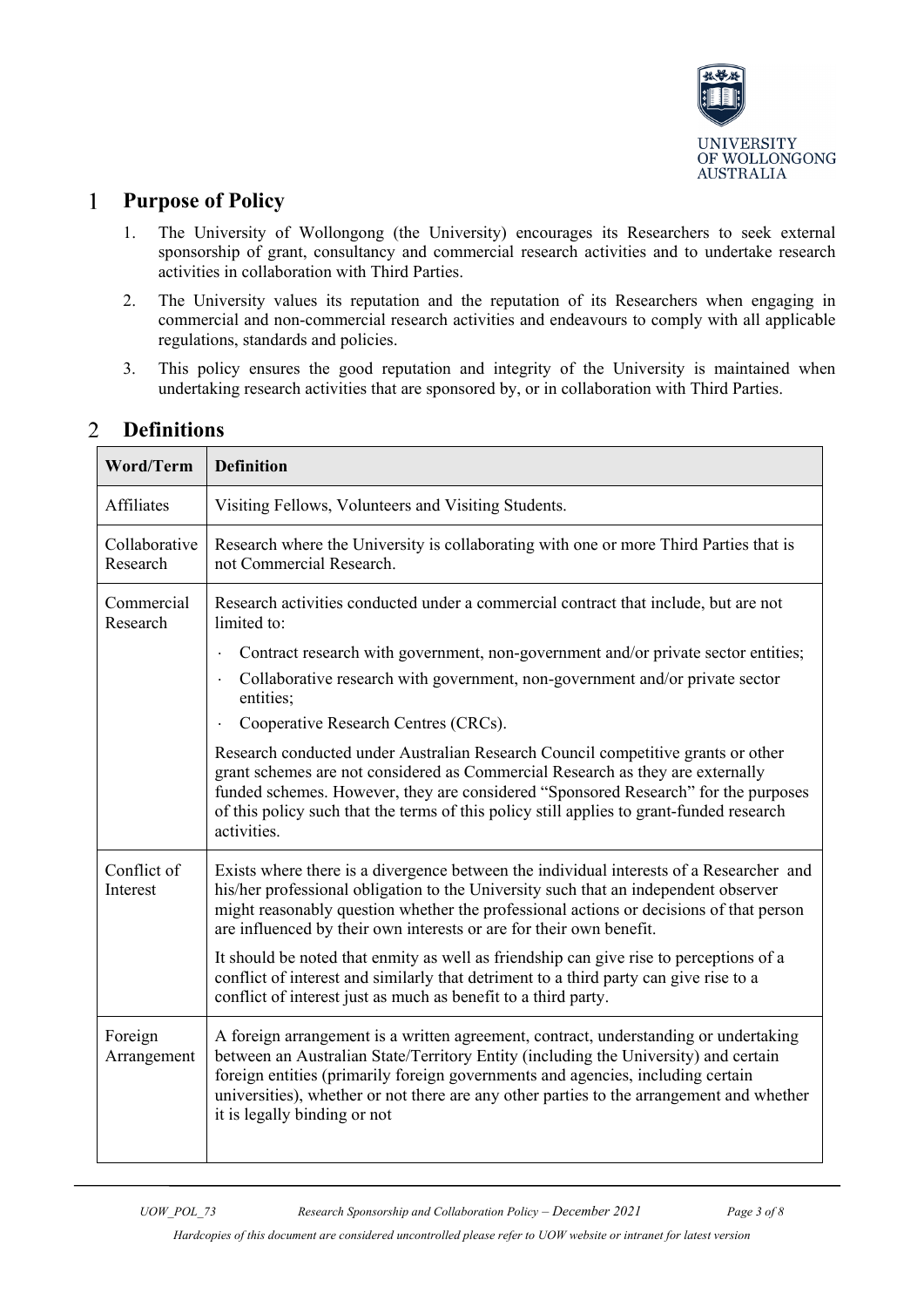

#### <span id="page-2-0"></span>**Purpose of Policy**  $\mathbf{1}$

- 1. The University of Wollongong (the University) encourages its Researchers to seek external sponsorship of grant, consultancy and commercial research activities and to undertake research activities in collaboration with Third Parties.
- 2. The University values its reputation and the reputation of its Researchers when engaging in commercial and non-commercial research activities and endeavours to comply with all applicable regulations, standards and policies.
- 3. This policy ensures the good reputation and integrity of the University is maintained when undertaking research activities that are sponsored by, or in collaboration with Third Parties.

| <b>Word/Term</b>          | <b>Definition</b>                                                                                                                                                                                                                                                                                                                                                                          |  |  |
|---------------------------|--------------------------------------------------------------------------------------------------------------------------------------------------------------------------------------------------------------------------------------------------------------------------------------------------------------------------------------------------------------------------------------------|--|--|
| <b>Affiliates</b>         | Visiting Fellows, Volunteers and Visiting Students.                                                                                                                                                                                                                                                                                                                                        |  |  |
| Collaborative<br>Research | Research where the University is collaborating with one or more Third Parties that is<br>not Commercial Research.                                                                                                                                                                                                                                                                          |  |  |
| Commercial<br>Research    | Research activities conducted under a commercial contract that include, but are not<br>limited to:                                                                                                                                                                                                                                                                                         |  |  |
|                           | Contract research with government, non-government and/or private sector entities;                                                                                                                                                                                                                                                                                                          |  |  |
|                           | Collaborative research with government, non-government and/or private sector<br>entities;                                                                                                                                                                                                                                                                                                  |  |  |
|                           | Cooperative Research Centres (CRCs).<br>$\bullet$                                                                                                                                                                                                                                                                                                                                          |  |  |
|                           | Research conducted under Australian Research Council competitive grants or other<br>grant schemes are not considered as Commercial Research as they are externally<br>funded schemes. However, they are considered "Sponsored Research" for the purposes<br>of this policy such that the terms of this policy still applies to grant-funded research<br>activities.                        |  |  |
| Conflict of<br>Interest   | Exists where there is a divergence between the individual interests of a Researcher and<br>his/her professional obligation to the University such that an independent observer<br>might reasonably question whether the professional actions or decisions of that person<br>are influenced by their own interests or are for their own benefit.                                            |  |  |
|                           | It should be noted that enmity as well as friendship can give rise to perceptions of a<br>conflict of interest and similarly that detriment to a third party can give rise to a<br>conflict of interest just as much as benefit to a third party.                                                                                                                                          |  |  |
| Foreign<br>Arrangement    | A foreign arrangement is a written agreement, contract, understanding or undertaking<br>between an Australian State/Territory Entity (including the University) and certain<br>foreign entities (primarily foreign governments and agencies, including certain<br>universities), whether or not there are any other parties to the arrangement and whether<br>it is legally binding or not |  |  |

#### <span id="page-2-1"></span> $\overline{2}$ **Definitions**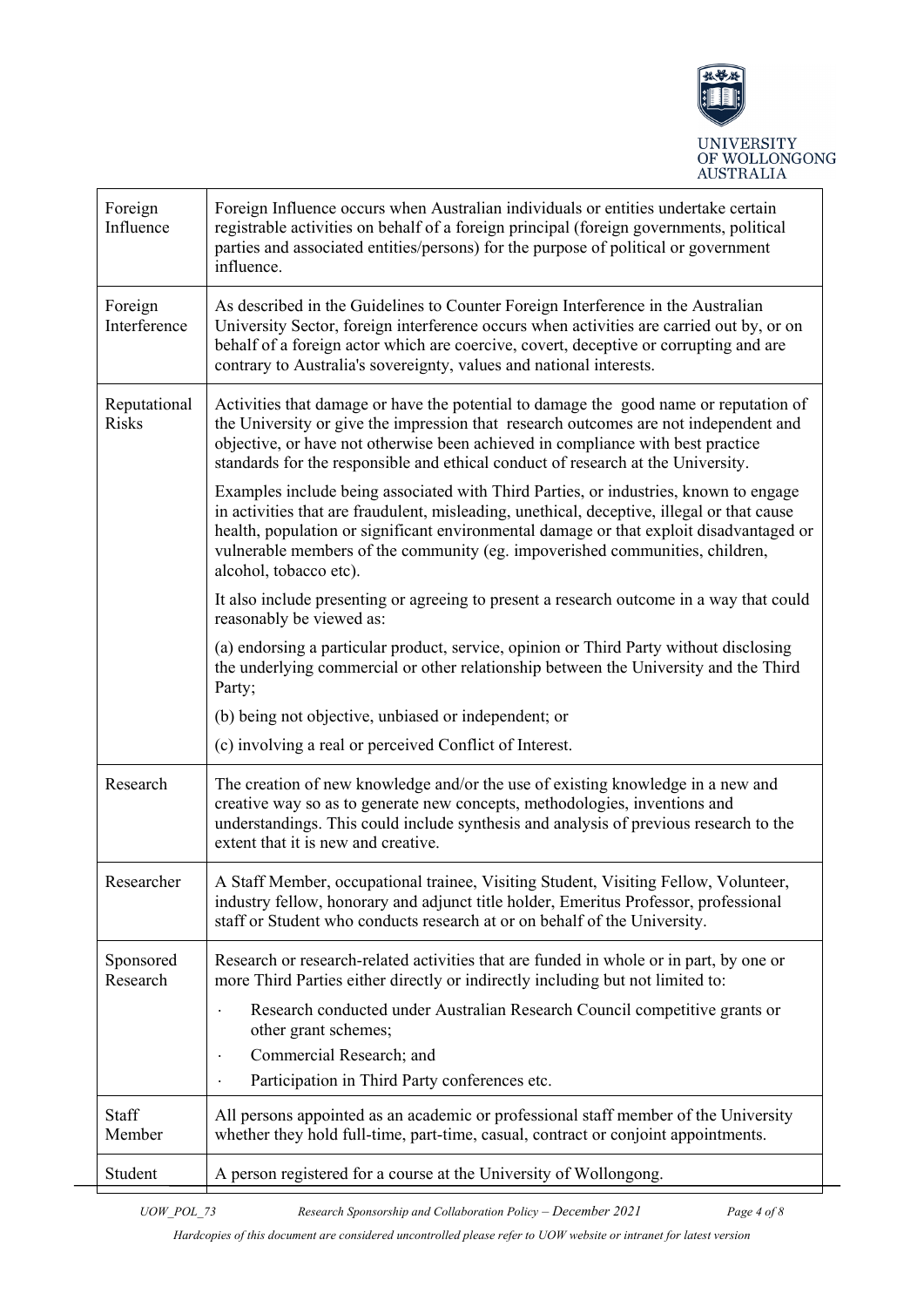

| Foreign<br>Influence         | Foreign Influence occurs when Australian individuals or entities undertake certain<br>registrable activities on behalf of a foreign principal (foreign governments, political<br>parties and associated entities/persons) for the purpose of political or government<br>influence.                                                                                                      |  |  |  |
|------------------------------|-----------------------------------------------------------------------------------------------------------------------------------------------------------------------------------------------------------------------------------------------------------------------------------------------------------------------------------------------------------------------------------------|--|--|--|
| Foreign<br>Interference      | As described in the Guidelines to Counter Foreign Interference in the Australian<br>University Sector, foreign interference occurs when activities are carried out by, or on<br>behalf of a foreign actor which are coercive, covert, deceptive or corrupting and are<br>contrary to Australia's sovereignty, values and national interests.                                            |  |  |  |
| Reputational<br><b>Risks</b> | Activities that damage or have the potential to damage the good name or reputation of<br>the University or give the impression that research outcomes are not independent and<br>objective, or have not otherwise been achieved in compliance with best practice<br>standards for the responsible and ethical conduct of research at the University.                                    |  |  |  |
|                              | Examples include being associated with Third Parties, or industries, known to engage<br>in activities that are fraudulent, misleading, unethical, deceptive, illegal or that cause<br>health, population or significant environmental damage or that exploit disadvantaged or<br>vulnerable members of the community (eg. impoverished communities, children,<br>alcohol, tobacco etc). |  |  |  |
|                              | It also include presenting or agreeing to present a research outcome in a way that could<br>reasonably be viewed as:                                                                                                                                                                                                                                                                    |  |  |  |
|                              | (a) endorsing a particular product, service, opinion or Third Party without disclosing<br>the underlying commercial or other relationship between the University and the Third<br>Party;                                                                                                                                                                                                |  |  |  |
|                              | (b) being not objective, unbiased or independent; or                                                                                                                                                                                                                                                                                                                                    |  |  |  |
|                              | (c) involving a real or perceived Conflict of Interest.                                                                                                                                                                                                                                                                                                                                 |  |  |  |
| Research                     | The creation of new knowledge and/or the use of existing knowledge in a new and<br>creative way so as to generate new concepts, methodologies, inventions and<br>understandings. This could include synthesis and analysis of previous research to the<br>extent that it is new and creative.                                                                                           |  |  |  |
| Researcher                   | A Staff Member, occupational trainee, Visiting Student, Visiting Fellow, Volunteer,<br>industry fellow, honorary and adjunct title holder, Emeritus Professor, professional<br>staff or Student who conducts research at or on behalf of the University.                                                                                                                                |  |  |  |
| Sponsored<br>Research        | Research or research-related activities that are funded in whole or in part, by one or<br>more Third Parties either directly or indirectly including but not limited to:                                                                                                                                                                                                                |  |  |  |
|                              | Research conducted under Australian Research Council competitive grants or<br>other grant schemes;                                                                                                                                                                                                                                                                                      |  |  |  |
|                              | Commercial Research; and                                                                                                                                                                                                                                                                                                                                                                |  |  |  |
|                              | Participation in Third Party conferences etc.<br>$\bullet$                                                                                                                                                                                                                                                                                                                              |  |  |  |
| Staff<br>Member              | All persons appointed as an academic or professional staff member of the University<br>whether they hold full-time, part-time, casual, contract or conjoint appointments.                                                                                                                                                                                                               |  |  |  |
| Student                      | A person registered for a course at the University of Wollongong.                                                                                                                                                                                                                                                                                                                       |  |  |  |

*UOW\_POL\_73 Research Sponsorship and Collaboration Policy – December 2021 Page 4 of 8*

*Hardcopies of this document are considered uncontrolled please refer to UOW website or intranet for latest version*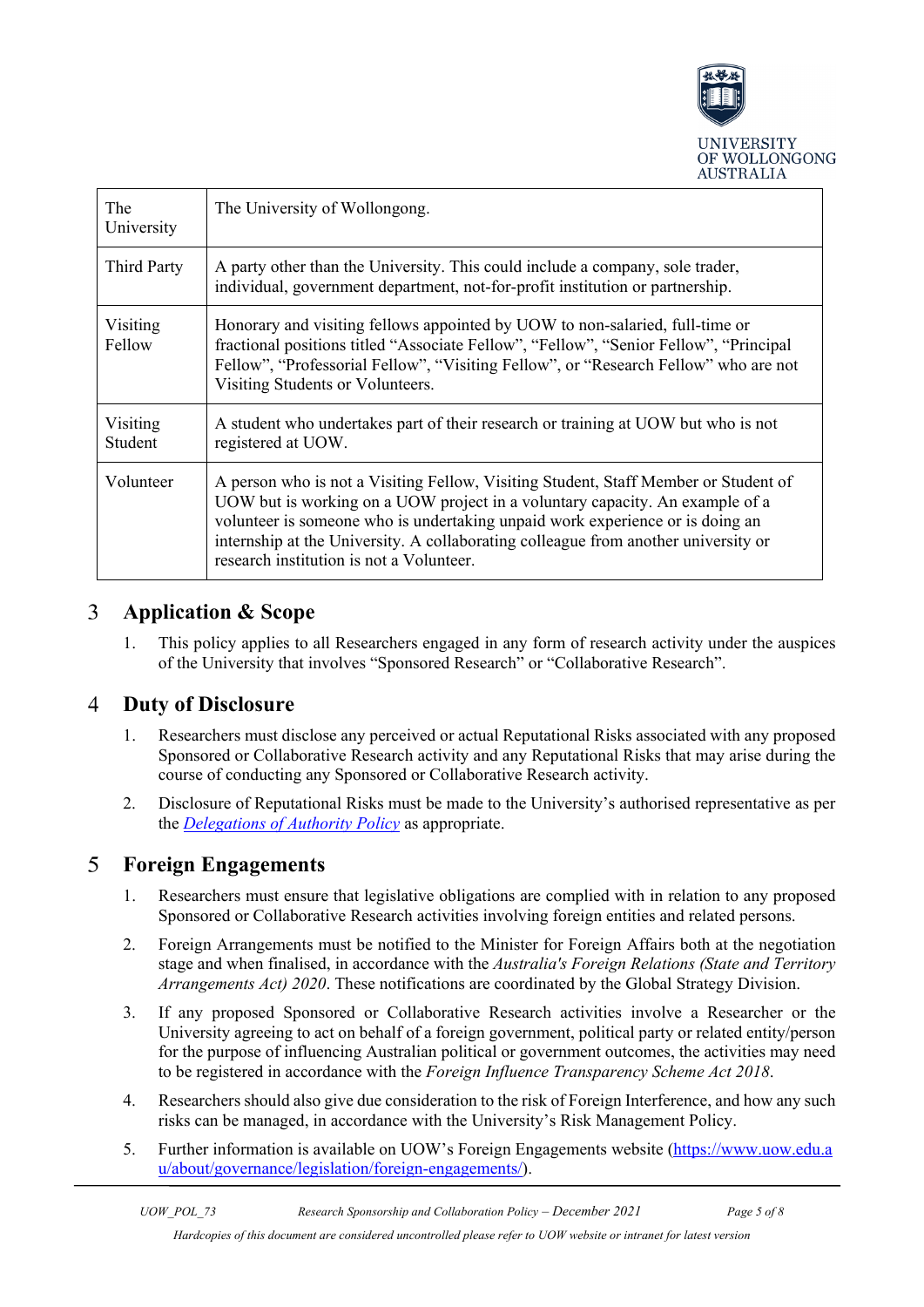

| The<br>University   | The University of Wollongong.                                                                                                                                                                                                                                                                                                                                                          |
|---------------------|----------------------------------------------------------------------------------------------------------------------------------------------------------------------------------------------------------------------------------------------------------------------------------------------------------------------------------------------------------------------------------------|
| Third Party         | A party other than the University. This could include a company, sole trader,<br>individual, government department, not-for-profit institution or partnership.                                                                                                                                                                                                                         |
| Visiting<br>Fellow  | Honorary and visiting fellows appointed by UOW to non-salaried, full-time or<br>fractional positions titled "Associate Fellow", "Fellow", "Senior Fellow", "Principal<br>Fellow", "Professorial Fellow", "Visiting Fellow", or "Research Fellow" who are not<br>Visiting Students or Volunteers.                                                                                       |
| Visiting<br>Student | A student who undertakes part of their research or training at UOW but who is not<br>registered at UOW.                                                                                                                                                                                                                                                                                |
| Volunteer           | A person who is not a Visiting Fellow, Visiting Student, Staff Member or Student of<br>UOW but is working on a UOW project in a voluntary capacity. An example of a<br>volunteer is someone who is undertaking unpaid work experience or is doing an<br>internship at the University. A collaborating colleague from another university or<br>research institution is not a Volunteer. |

#### <span id="page-4-0"></span> $\overline{3}$ **Application & Scope**

1. This policy applies to all Researchers engaged in any form of research activity under the auspices of the University that involves "Sponsored Research" or "Collaborative Research".

#### <span id="page-4-1"></span> $\overline{4}$ **Duty of Disclosure**

- 1. Researchers must disclose any perceived or actual Reputational Risks associated with any proposed Sponsored or Collaborative Research activity and any Reputational Risks that may arise during the course of conducting any Sponsored or Collaborative Research activity.
- 2. Disclosure of Reputational Risks must be made to the University's authorised representative as per the *[Delegations of Authority Policy](https://www.uow.edu.au/about/policy/UOW058669.html)* as appropriate.

#### <span id="page-4-2"></span>5 **Foreign Engagements**

- 1. Researchers must ensure that legislative obligations are complied with in relation to any proposed Sponsored or Collaborative Research activities involving foreign entities and related persons.
- 2. Foreign Arrangements must be notified to the Minister for Foreign Affairs both at the negotiation stage and when finalised, in accordance with the *Australia's Foreign Relations (State and Territory Arrangements Act) 2020*. These notifications are coordinated by the Global Strategy Division.
- 3. If any proposed Sponsored or Collaborative Research activities involve a Researcher or the University agreeing to act on behalf of a foreign government, political party or related entity/person for the purpose of influencing Australian political or government outcomes, the activities may need to be registered in accordance with the *Foreign Influence Transparency Scheme Act 2018*.
- 4. Researchers should also give due consideration to the risk of Foreign Interference, and how any such risks can be managed, in accordance with the University's Risk Management Policy.
- 5. Further information is available on UOW's Foreign Engagements website [\(https://www.uow.edu.a](https://www.uow.edu.au/about/governance/legislation/foreign-engagements/) [u/about/governance/legislation/foreign-engagements/\)](https://www.uow.edu.au/about/governance/legislation/foreign-engagements/).

*Hardcopies of this document are considered uncontrolled please refer to UOW website or intranet for latest version*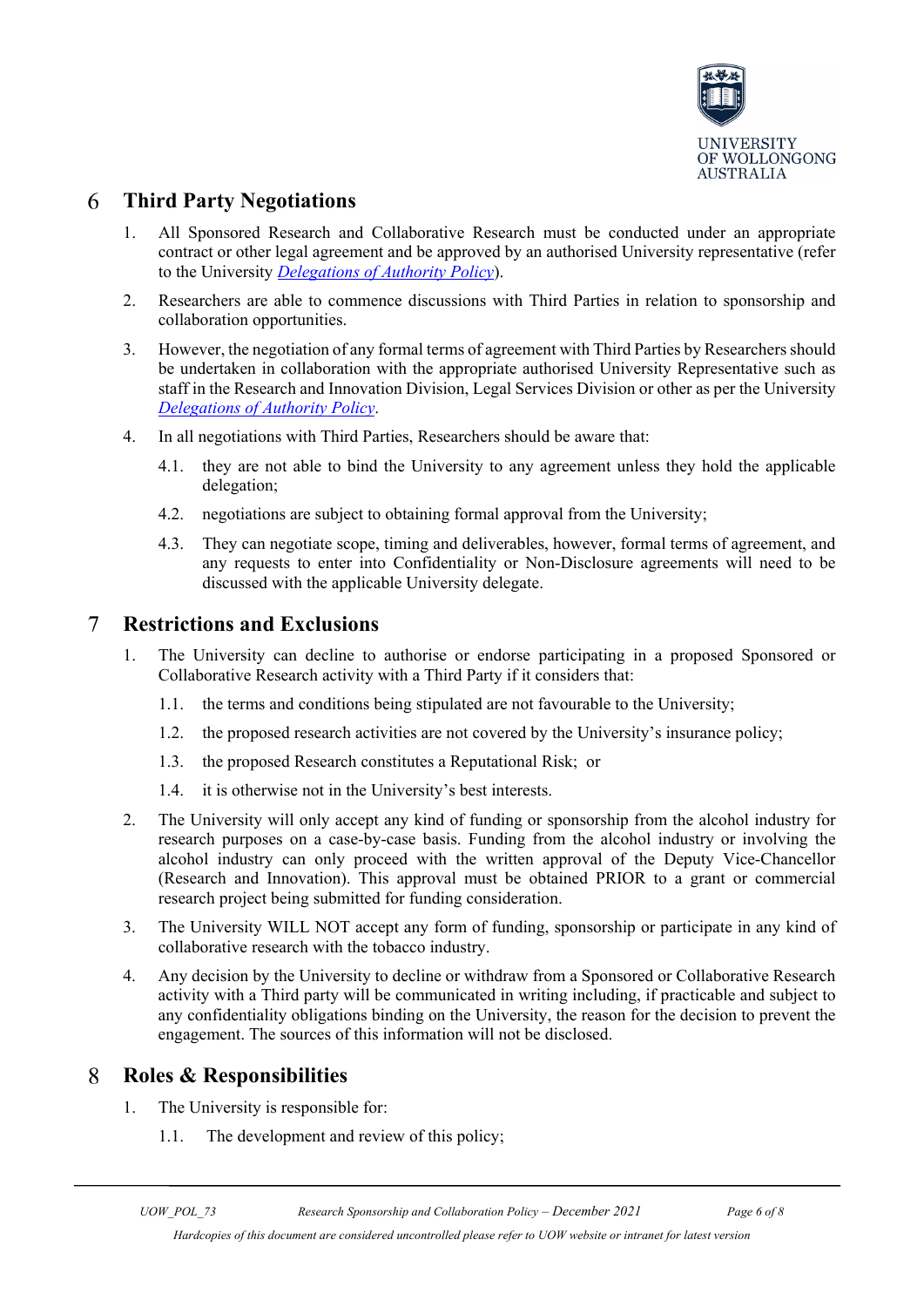

#### 6 **Third Party Negotiations**

- 1. All Sponsored Research and Collaborative Research must be conducted under an appropriate contract or other legal agreement and be approved by an authorised University representative (refer to the University *[Delegations of Authority Policy](https://www.uow.edu.au/about/policy/UOW058669.html)*).
- 2. Researchers are able to commence discussions with Third Parties in relation to sponsorship and collaboration opportunities.
- 3. However, the negotiation of any formal terms of agreement with Third Parties by Researchers should be undertaken in collaboration with the appropriate authorised University Representative such as staff in the Research and Innovation Division, Legal Services Division or other as per the University *[Delegations of Authority Policy](https://www.uow.edu.au/about/policy/UOW058669.html)*.
- 4. In all negotiations with Third Parties, Researchers should be aware that:
	- 4.1. they are not able to bind the University to any agreement unless they hold the applicable delegation;
	- 4.2. negotiations are subject to obtaining formal approval from the University;
	- 4.3. They can negotiate scope, timing and deliverables, however, formal terms of agreement, and any requests to enter into Confidentiality or Non-Disclosure agreements will need to be discussed with the applicable University delegate.

#### <span id="page-5-0"></span> $\tau$ **Restrictions and Exclusions**

- 1. The University can decline to authorise or endorse participating in a proposed Sponsored or Collaborative Research activity with a Third Party if it considers that:
	- 1.1. the terms and conditions being stipulated are not favourable to the University;
	- 1.2. the proposed research activities are not covered by the University's insurance policy;
	- 1.3. the proposed Research constitutes a Reputational Risk; or
	- 1.4. it is otherwise not in the University's best interests.
- 2. The University will only accept any kind of funding or sponsorship from the alcohol industry for research purposes on a case-by-case basis. Funding from the alcohol industry or involving the alcohol industry can only proceed with the written approval of the Deputy Vice-Chancellor (Research and Innovation). This approval must be obtained PRIOR to a grant or commercial research project being submitted for funding consideration.
- 3. The University WILL NOT accept any form of funding, sponsorship or participate in any kind of collaborative research with the tobacco industry.
- 4. Any decision by the University to decline or withdraw from a Sponsored or Collaborative Research activity with a Third party will be communicated in writing including, if practicable and subject to any confidentiality obligations binding on the University, the reason for the decision to prevent the engagement. The sources of this information will not be disclosed.

#### <span id="page-5-1"></span>8 **Roles & Responsibilities**

- 1. The University is responsible for:
	- 1.1. The development and review of this policy;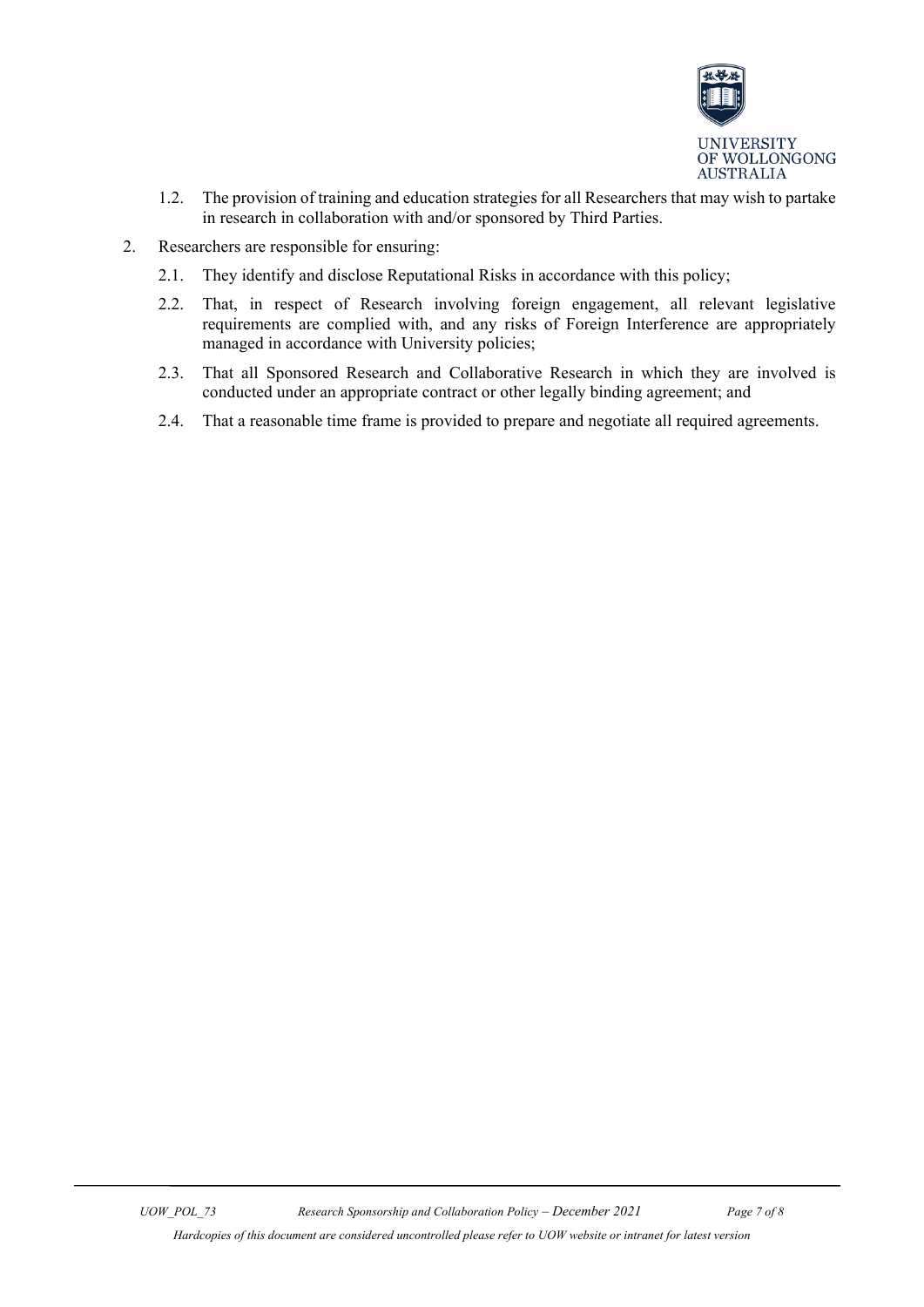

- 1.2. The provision of training and education strategies for all Researchers that may wish to partake in research in collaboration with and/or sponsored by Third Parties.
- <span id="page-6-0"></span>2. Researchers are responsible for ensuring:
	- 2.1. They identify and disclose Reputational Risks in accordance with this policy;
	- 2.2. That, in respect of Research involving foreign engagement, all relevant legislative requirements are complied with, and any risks of Foreign Interference are appropriately managed in accordance with University policies;
	- 2.3. That all Sponsored Research and Collaborative Research in which they are involved is conducted under an appropriate contract or other legally binding agreement; and
	- 2.4. That a reasonable time frame is provided to prepare and negotiate all required agreements.